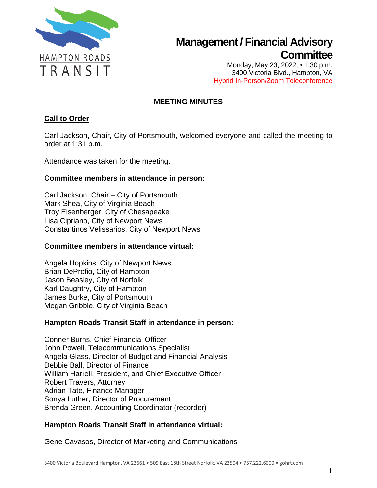

Monday, May 23, 2022, • 1:30 p.m. 3400 Victoria Blvd., Hampton, VA Hybrid In-Person/Zoom Teleconference

## **MEETING MINUTES**

### **Call to Order**

Carl Jackson, Chair, City of Portsmouth, welcomed everyone and called the meeting to order at 1:31 p.m.

Attendance was taken for the meeting.

#### **Committee members in attendance in person:**

Carl Jackson, Chair – City of Portsmouth Mark Shea, City of Virginia Beach Troy Eisenberger, City of Chesapeake Lisa Cipriano, City of Newport News Constantinos Velissarios, City of Newport News

#### **Committee members in attendance virtual:**

Angela Hopkins, City of Newport News Brian DeProfio, City of Hampton Jason Beasley, City of Norfolk Karl Daughtry, City of Hampton James Burke, City of Portsmouth Megan Gribble, City of Virginia Beach

#### **Hampton Roads Transit Staff in attendance in person:**

Conner Burns, Chief Financial Officer John Powell, Telecommunications Specialist Angela Glass, Director of Budget and Financial Analysis Debbie Ball, Director of Finance William Harrell, President, and Chief Executive Officer Robert Travers, Attorney Adrian Tate, Finance Manager Sonya Luther, Director of Procurement Brenda Green, Accounting Coordinator (recorder)

## **Hampton Roads Transit Staff in attendance virtual:**

Gene Cavasos, Director of Marketing and Communications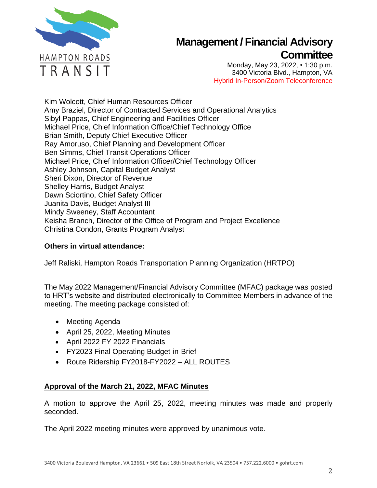

Monday, May 23, 2022, • 1:30 p.m. 3400 Victoria Blvd., Hampton, VA Hybrid In-Person/Zoom Teleconference

Kim Wolcott, Chief Human Resources Officer Amy Braziel, Director of Contracted Services and Operational Analytics Sibyl Pappas, Chief Engineering and Facilities Officer Michael Price, Chief Information Office/Chief Technology Office Brian Smith, Deputy Chief Executive Officer Ray Amoruso, Chief Planning and Development Officer Ben Simms, Chief Transit Operations Officer Michael Price, Chief Information Officer/Chief Technology Officer Ashley Johnson, Capital Budget Analyst Sheri Dixon, Director of Revenue Shelley Harris, Budget Analyst Dawn Sciortino, Chief Safety Officer Juanita Davis, Budget Analyst III Mindy Sweeney, Staff Accountant Keisha Branch, Director of the Office of Program and Project Excellence Christina Condon, Grants Program Analyst

### **Others in virtual attendance:**

Jeff Raliski, Hampton Roads Transportation Planning Organization (HRTPO)

The May 2022 Management/Financial Advisory Committee (MFAC) package was posted to HRT's website and distributed electronically to Committee Members in advance of the meeting. The meeting package consisted of:

- Meeting Agenda
- April 25, 2022, Meeting Minutes
- April 2022 FY 2022 Financials
- FY2023 Final Operating Budget-in-Brief
- Route Ridership FY2018-FY2022 ALL ROUTES

## **Approval of the March 21, 2022, MFAC Minutes**

A motion to approve the April 25, 2022, meeting minutes was made and properly seconded.

The April 2022 meeting minutes were approved by unanimous vote.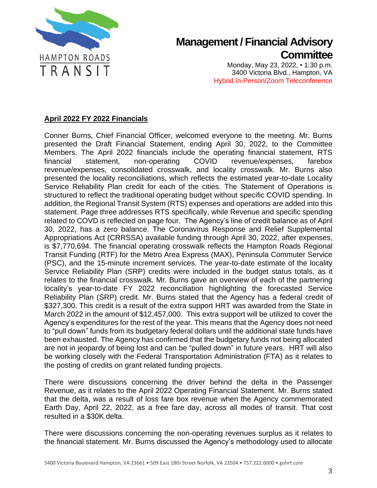

Monday, May 23, 2022, • 1:30 p.m. 3400 Victoria Blvd., Hampton, VA Hybrid In-Person/Zoom Teleconference

## **April 2022 FY 2022 Financials**

Conner Burns, Chief Financial Officer, welcomed everyone to the meeting. Mr. Burns presented the Draft Financial Statement, ending April 30, 2022, to the Committee Members. The April 2022 financials include the operating financial statement, RTS financial statement, non-operating COVID revenue/expenses, farebox revenue/expenses, consolidated crosswalk, and locality crosswalk. Mr. Burns also presented the locality reconciliations, which reflects the estimated year-to-date Locality Service Reliability Plan credit for each of the cities. The Statement of Operations is structured to reflect the traditional operating budget without specific COVID spending. In addition, the Regional Transit System (RTS) expenses and operations are added into this statement. Page three addresses RTS specifically, while Revenue and specific spending related to COVD is reflected on page four. The Agency's line of credit balance as of April 30, 2022, has a zero balance. The Coronavirus Response and Relief Supplemental Appropriations Act (CRRSSA) available funding through April 30, 2022, after expenses, is \$7,770,694. The financial operating crosswalk reflects the Hampton Roads Regional Transit Funding (RTF) for the Metro Area Express (MAX), Peninsula Commuter Service (PSC), and the 15-minute increment services. The year-to-date estimate of the locality Service Reliability Plan (SRP) credits were included in the budget status totals, as it relates to the financial crosswalk. Mr. Burns gave an overview of each of the partnering locality's year-to-date FY 2022 reconciliation highlighting the forecasted Service Reliability Plan (SRP) credit. Mr. Burns stated that the Agency has a federal credit of \$327,300. This credit is a result of the extra support HRT was awarded from the State in March 2022 in the amount of \$12,457,000. This extra support will be utilized to cover the Agency's expenditures for the rest of the year. This means that the Agency does not need to "pull down" funds from its budgetary federal dollars until the additional state funds have been exhausted. The Agency has confirmed that the budgetary funds not being allocated are not in jeopardy of being lost and can be "pulled down" in future years. HRT will also be working closely with the Federal Transportation Administration (FTA) as it relates to the posting of credits on grant related funding projects.

There were discussions concerning the driver behind the delta in the Passenger Revenue, as it relates to the April 2022 Operating Financial Statement. Mr. Burns stated that the delta, was a result of loss fare box revenue when the Agency commemorated Earth Day, April 22, 2022, as a free fare day, across all modes of transit. That cost resulted in a \$30K delta.

There were discussions concerning the non-operating revenues surplus as it relates to the financial statement. Mr. Burns discussed the Agency's methodology used to allocate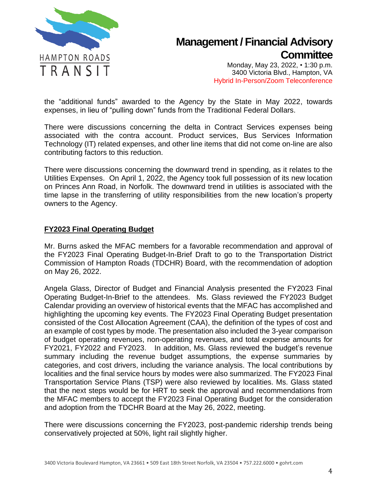

Monday, May 23, 2022, • 1:30 p.m. 3400 Victoria Blvd., Hampton, VA Hybrid In-Person/Zoom Teleconference

the "additional funds" awarded to the Agency by the State in May 2022, towards expenses, in lieu of "pulling down" funds from the Traditional Federal Dollars.

There were discussions concerning the delta in Contract Services expenses being associated with the contra account. Product services, Bus Services Information Technology (IT) related expenses, and other line items that did not come on-line are also contributing factors to this reduction.

There were discussions concerning the downward trend in spending, as it relates to the Utilities Expenses. On April 1, 2022, the Agency took full possession of its new location on Princes Ann Road, in Norfolk. The downward trend in utilities is associated with the time lapse in the transferring of utility responsibilities from the new location's property owners to the Agency.

#### **FY2023 Final Operating Budget**

Mr. Burns asked the MFAC members for a favorable recommendation and approval of the FY2023 Final Operating Budget-In-Brief Draft to go to the Transportation District Commission of Hampton Roads (TDCHR) Board, with the recommendation of adoption on May 26, 2022.

Angela Glass, Director of Budget and Financial Analysis presented the FY2023 Final Operating Budget-In-Brief to the attendees. Ms. Glass reviewed the FY2023 Budget Calendar providing an overview of historical events that the MFAC has accomplished and highlighting the upcoming key events. The FY2023 Final Operating Budget presentation consisted of the Cost Allocation Agreement (CAA), the definition of the types of cost and an example of cost types by mode. The presentation also included the 3-year comparison of budget operating revenues, non-operating revenues, and total expense amounts for FY2021, FY2022 and FY2023. In addition, Ms. Glass reviewed the budget's revenue summary including the revenue budget assumptions, the expense summaries by categories, and cost drivers, including the variance analysis. The local contributions by localities and the final service hours by modes were also summarized. The FY2023 Final Transportation Service Plans (TSP) were also reviewed by localities. Ms. Glass stated that the next steps would be for HRT to seek the approval and recommendations from the MFAC members to accept the FY2023 Final Operating Budget for the consideration and adoption from the TDCHR Board at the May 26, 2022, meeting.

There were discussions concerning the FY2023, post-pandemic ridership trends being conservatively projected at 50%, light rail slightly higher.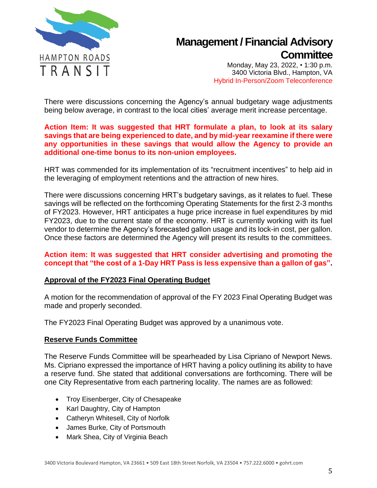

Monday, May 23, 2022, • 1:30 p.m. 3400 Victoria Blvd., Hampton, VA Hybrid In-Person/Zoom Teleconference

There were discussions concerning the Agency's annual budgetary wage adjustments being below average, in contrast to the local cities' average merit increase percentage.

#### **Action Item: It was suggested that HRT formulate a plan, to look at its salary savings that are being experienced to date, and by mid-year reexamine if there were any opportunities in these savings that would allow the Agency to provide an additional one-time bonus to its non-union employees.**

HRT was commended for its implementation of its "recruitment incentives" to help aid in the leveraging of employment retentions and the attraction of new hires.

There were discussions concerning HRT's budgetary savings, as it relates to fuel. These savings will be reflected on the forthcoming Operating Statements for the first 2-3 months of FY2023. However, HRT anticipates a huge price increase in fuel expenditures by mid FY2023, due to the current state of the economy. HRT is currently working with its fuel vendor to determine the Agency's forecasted gallon usage and its lock-in cost, per gallon. Once these factors are determined the Agency will present its results to the committees.

#### **Action item: It was suggested that HRT consider advertising and promoting the concept that "the cost of a 1-Day HRT Pass is less expensive than a gallon of gas".**

#### **Approval of the FY2023 Final Operating Budget**

A motion for the recommendation of approval of the FY 2023 Final Operating Budget was made and properly seconded.

The FY2023 Final Operating Budget was approved by a unanimous vote.

#### **Reserve Funds Committee**

The Reserve Funds Committee will be spearheaded by Lisa Cipriano of Newport News. Ms. Cipriano expressed the importance of HRT having a policy outlining its ability to have a reserve fund. She stated that additional conversations are forthcoming. There will be one City Representative from each partnering locality. The names are as followed:

- Troy Eisenberger, City of Chesapeake
- Karl Daughtry, City of Hampton
- Catheryn Whitesell, City of Norfolk
- James Burke, City of Portsmouth
- Mark Shea, City of Virginia Beach